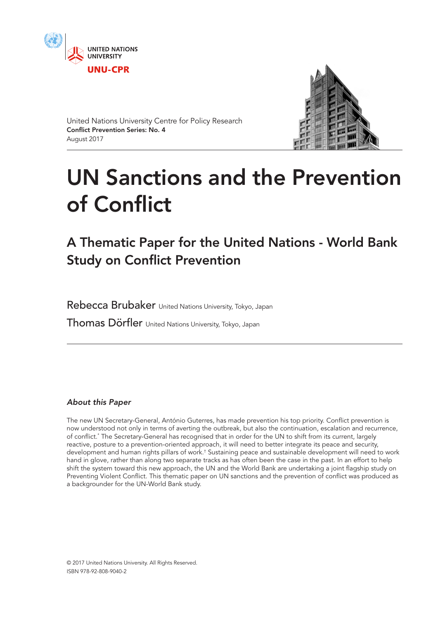



United Nations University Centre for Policy Research Conflict Prevention Series: No. 4 August 2017

# UN Sanctions and the Prevention of Conflict

A Thematic Paper for the United Nations - World Bank Study on Conflict Prevention

Rebecca Brubaker United Nations University, Tokyo, Japan

Thomas Dörfler United Nations University, Tokyo, Japan

## *About this Paper*

The new UN Secretary-General, António Guterres, has made prevention his top priority. Conflict prevention is now understood not only in terms of averting the outbreak, but also the continuation, escalation and recurrence, of conflict.\* The Secretary-General has recognised that in order for the UN to shift from its current, largely reactive, posture to a prevention-oriented approach, it will need to better integrate its peace and security, development and human rights pillars of work.† Sustaining peace and sustainable development will need to work hand in glove, rather than along two separate tracks as has often been the case in the past. In an effort to help shift the system toward this new approach, the UN and the World Bank are undertaking a joint flagship study on Preventing Violent Conflict. This thematic paper on UN sanctions and the prevention of conflict was produced as a backgrounder for the UN-World Bank study.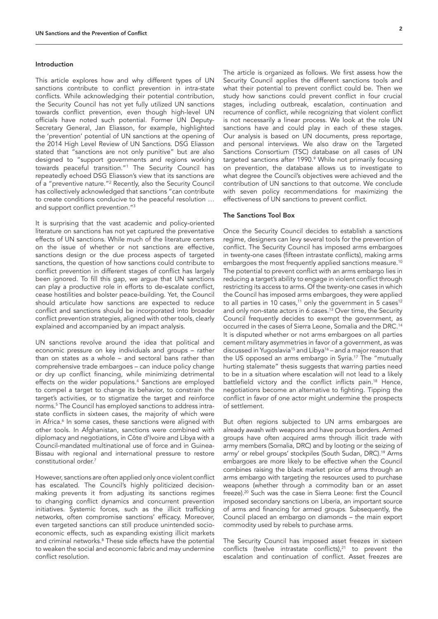#### Introduction

This article explores how and why different types of UN sanctions contribute to conflict prevention in intra-state conflicts. While acknowledging their potential contribution, the Security Council has not yet fully utilized UN sanctions towards conflict prevention, even though high-level UN officials have noted such potential. Former UN Deputy-Secretary General, Jan Eliasson, for example, highlighted the 'prevention' potential of UN sanctions at the opening of the 2014 High Level Review of UN Sanctions. DSG Eliasson stated that "sanctions are not only punitive" but are also designed to "support governments and regions working towards peaceful transition."1 The Security Council has repeatedly echoed DSG Eliasson's view that its sanctions are of a "preventive nature."2 Recently, also the Security Council has collectively acknowledged that sanctions "can contribute to create conditions conducive to the peaceful resolution … and support conflict prevention."3

It is surprising that the vast academic and policy-oriented literature on sanctions has not yet captured the preventative effects of UN sanctions. While much of the literature centers on the issue of whether or not sanctions are effective, sanctions design or the due process aspects of targeted sanctions, the question of how sanctions could contribute to conflict prevention in different stages of conflict has largely been ignored. To fill this gap, we argue that UN sanctions can play a productive role in efforts to de-escalate conflict, cease hostilities and bolster peace-building. Yet, the Council should articulate how sanctions are expected to reduce conflict and sanctions should be incorporated into broader conflict prevention strategies, aligned with other tools, clearly explained and accompanied by an impact analysis.

UN sanctions revolve around the idea that political and economic pressure on key individuals and groups – rather than on states as a whole – and sectoral bans rather than comprehensive trade embargoes – can induce policy change or dry up conflict financing, while minimizing detrimental effects on the wider populations.<sup>4</sup> Sanctions are employed to compel a target to change its behavior, to constrain the target's activities, or to stigmatize the target and reinforce norms.5 The Council has employed sanctions to address intrastate conflicts in sixteen cases, the majority of which were in Africa.<sup>6</sup> In some cases, these sanctions were aligned with other tools. In Afghanistan, sanctions were combined with diplomacy and negotiations, in Côte d'Ivoire and Libya with a Council-mandated multinational use of force and in Guinea-Bissau with regional and international pressure to restore constitutional order.<sup>7</sup>

However, sanctions are often applied only once violent conflict has escalated. The Council's highly politicized decisionmaking prevents it from adjusting its sanctions regimes to changing conflict dynamics and concurrent prevention initiatives. Systemic forces, such as the illicit trafficking networks, often compromise sanctions' efficacy. Moreover, even targeted sanctions can still produce unintended socioeconomic effects, such as expanding existing illicit markets and criminal networks.<sup>8</sup> These side effects have the potential to weaken the social and economic fabric and may undermine conflict resolution.

The article is organized as follows. We first assess how the Security Council applies the different sanctions tools and what their potential to prevent conflict could be. Then we study how sanctions could prevent conflict in four crucial stages, including outbreak, escalation, continuation and recurrence of conflict, while recognizing that violent conflict is not necessarily a linear process. We look at the role UN sanctions have and could play in each of these stages. Our analysis is based on UN documents, press reportage, and personal interviews. We also draw on the Targeted Sanctions Consortium (TSC) database on all cases of UN targeted sanctions after 1990.<sup>9</sup> While not primarily focusing on prevention, the database allows us to investigate to what degree the Council's objectives were achieved and the contribution of UN sanctions to that outcome. We conclude with seven policy recommendations for maximizing the effectiveness of UN sanctions to prevent conflict.

#### The Sanctions Tool Box

Once the Security Council decides to establish a sanctions regime, designers can levy several tools for the prevention of conflict. The Security Council has imposed arms embargoes in twenty-one cases (fifteen intrastate conflicts), making arms embargoes the most frequently applied sanctions measure.10 The potential to prevent conflict with an arms embargo lies in reducing a target's ability to engage in violent conflict through restricting its access to arms. Of the twenty-one cases in which the Council has imposed arms embargoes, they were applied to all parties in 10 cases,<sup>11</sup> only the government in 5 cases<sup>12</sup> and only non-state actors in 6 cases.<sup>13</sup> Over time, the Security Council frequently decides to exempt the government, as occurred in the cases of Sierra Leone, Somalia and the DRC.14 It is disputed whether or not arms embargoes on all parties cement military asymmetries in favor of a government, as was discussed in Yugoslavia<sup>15</sup> and Libya<sup>16</sup> – and a major reason that the US opposed an arms embargo in Syria.17 The "mutually hurting stalemate" thesis suggests that warring parties need to be in a situation where escalation will not lead to a likely battlefield victory and the conflict inflicts pain.18 Hence, negotiations become an alternative to fighting. Tipping the conflict in favor of one actor might undermine the prospects of settlement.

But often regions subjected to UN arms embargoes are already awash with weapons and have porous borders. Armed groups have often acquired arms through illicit trade with army members (Somalia, DRC) and by looting or the seizing of army' or rebel groups' stockpiles (South Sudan, DRC).<sup>19</sup> Arms embargoes are more likely to be effective when the Council combines raising the black market price of arms through an arms embargo with targeting the resources used to purchase weapons (whether through a commodity ban or an asset freeze).20 Such was the case in Sierra Leone: first the Council imposed secondary sanctions on Liberia, an important source of arms and financing for armed groups. Subsequently, the Council placed an embargo on diamonds – the main export commodity used by rebels to purchase arms.

The Security Council has imposed asset freezes in sixteen conflicts (twelve intrastate conflicts), $21$  to prevent the escalation and continuation of conflict. Asset freezes are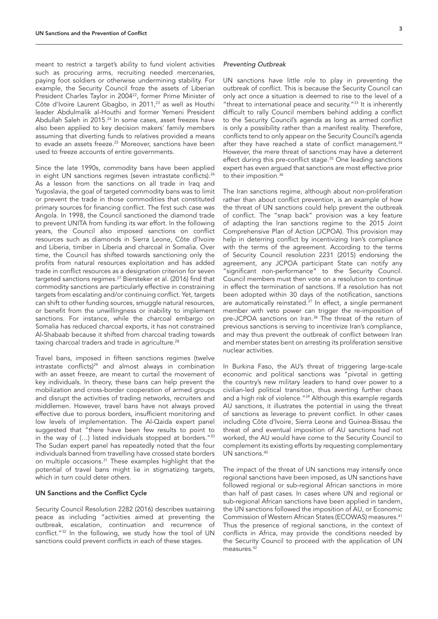meant to restrict a target's ability to fund violent activities such as procuring arms, recruiting needed mercenaries, paying foot soldiers or otherwise undermining stability. For example, the Security Council froze the assets of Liberian President Charles Taylor in 2004<sup>22</sup>, former Prime Minister of Côte d'Ivoire Laurent Gbagbo, in 2011,<sup>23</sup> as well as Houthi leader Abdulmalik al-Houthi and former Yemeni President Abdullah Saleh in 2015.<sup>24</sup> In some cases, asset freezes have also been applied to key decision makers' family members assuming that diverting funds to relatives provided a means to evade an assets freeze.25 Moreover, sanctions have been used to freeze accounts of entire governments.

Since the late 1990s, commodity bans have been applied in eight UN sanctions regimes (seven intrastate conflicts).<sup>26</sup> As a lesson from the sanctions on all trade in Iraq and Yugoslavia, the goal of targeted commodity bans was to limit or prevent the trade in those commodities that constituted primary sources for financing conflict. The first such case was Angola. In 1998, the Council sanctioned the diamond trade to prevent UNITA from funding its war effort. In the following years, the Council also imposed sanctions on conflict resources such as diamonds in Sierra Leone, Côte d'Ivoire and Liberia, timber in Liberia and charcoal in Somalia. Over time, the Council has shifted towards sanctioning only the profits from natural resources exploitation and has added trade in conflict resources as a designation criterion for seven targeted sanctions regimes.27 Biersteker et al. (2016) find that commodity sanctions are particularly effective in constraining targets from escalating and/or continuing conflict. Yet, targets can shift to other funding sources, smuggle natural resources, or benefit from the unwillingness or inability to implement sanctions. For instance, while the charcoal embargo on Somalia has reduced charcoal exports, it has not constrained Al-Shabaab because it shifted from charcoal trading towards taxing charcoal traders and trade in agriculture.<sup>28</sup>

Travel bans, imposed in fifteen sanctions regimes (twelve intrastate conflicts)<sup>29</sup> and almost always in combination with an asset freeze, are meant to curtail the movement of key individuals. In theory, these bans can help prevent the mobilization and cross-border cooperation of armed groups and disrupt the activities of trading networks, recruiters and middlemen. However, travel bans have not always proved effective due to porous borders, insufficient monitoring and low levels of implementation. The Al-Qaida expert panel suggested that "there have been few results to point to in the way of (…) listed individuals stopped at borders."30 The Sudan expert panel has repeatedly noted that the four individuals banned from travelling have crossed state borders on multiple occasions.31 These examples highlight that the potential of travel bans might lie in stigmatizing targets, which in turn could deter others.

#### UN Sanctions and the Conflict Cycle

Security Council Resolution 2282 (2016) describes sustaining peace as including "activities aimed at preventing the outbreak, escalation, continuation and recurrence of conflict."32 In the following, we study how the tool of UN sanctions could prevent conflicts in each of these stages.

#### *Preventing Outbreak*

UN sanctions have little role to play in preventing the outbreak of conflict. This is because the Security Council can only act once a situation is deemed to rise to the level of a "threat to international peace and security."<sup>33</sup> It is inherently difficult to rally Council members behind adding a conflict to the Security Council's agenda as long as armed conflict is only a possibility rather than a manifest reality. Therefore, conflicts tend to only appear on the Security Council's agenda after they have reached a state of conflict management.<sup>34</sup> However, the mere threat of sanctions may have a deterrent effect during this pre-conflict stage.<sup>35</sup> One leading sanctions expert has even argued that sanctions are most effective prior to their imposition.<sup>36</sup>

The Iran sanctions regime, although about non-proliferation rather than about conflict prevention, is an example of how the threat of UN sanctions could help prevent the outbreak of conflict. The "snap back" provision was a key feature of adapting the Iran sanctions regime to the 2015 Joint Comprehensive Plan of Action (JCPOA). This provision may help in deterring conflict by incentivizing Iran's compliance with the terms of the agreement. According to the terms of Security Council resolution 2231 (2015) endorsing the agreement, any JCPOA participant State can notify any "significant non-performance" to the Security Council. Council members must then vote on a resolution to continue in effect the termination of sanctions. If a resolution has not been adopted within 30 days of the notification, sanctions are automatically reinstated.<sup>37</sup> In effect, a single permanent member with veto power can trigger the re-imposition of pre-JCPOA sanctions on Iran.<sup>38</sup> The threat of the return of previous sanctions is serving to incentivize Iran's compliance, and may thus prevent the outbreak of conflict between Iran and member states bent on arresting its proliferation sensitive nuclear activities.

In Burkina Faso, the AU's threat of triggering large-scale economic and political sanctions was "pivotal in getting the country's new military leaders to hand over power to a civilian-led political transition, thus averting further chaos and a high risk of violence."<sup>39</sup> Although this example regards AU sanctions, it illustrates the potential in using the threat of sanctions as leverage to prevent conflict. In other cases including Côte d'Ivoire, Sierra Leone and Guinea-Bissau the threat of and eventual imposition of AU sanctions had not worked, the AU would have come to the Security Council to complement its existing efforts by requesting complementary UN sanctions.40

The impact of the threat of UN sanctions may intensify once regional sanctions have been imposed, as UN sanctions have followed regional or sub-regional African sanctions in more than half of past cases. In cases where UN and regional or sub-regional African sanctions have been applied in tandem, the UN sanctions followed the imposition of AU, or Economic Commission of Western African States (ECOWAS) measures.41 Thus the presence of regional sanctions, in the context of conflicts in Africa, may provide the conditions needed by the Security Council to proceed with the application of UN measures. $4$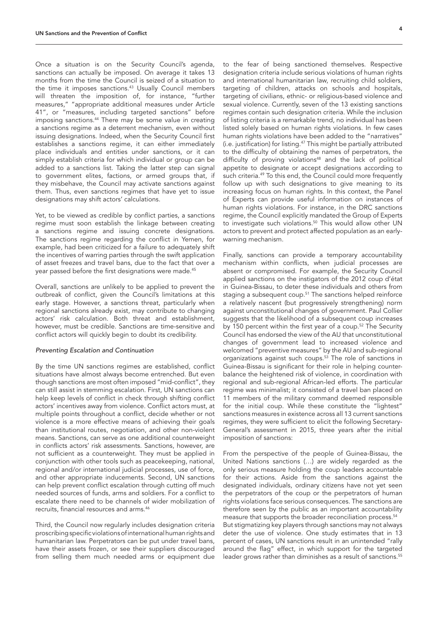Once a situation is on the Security Council's agenda, sanctions can actually be imposed. On average it takes 13 months from the time the Council is seized of a situation to the time it imposes sanctions.<sup>43</sup> Usually Council members will threaten the imposition of, for instance, "further measures," "appropriate additional measures under Article 41", or "measures, including targeted sanctions" before imposing sanctions.44 There may be some value in creating a sanctions regime as a deterrent mechanism, even without issuing designations. Indeed, when the Security Council first establishes a sanctions regime, it can either immediately place individuals and entities under sanctions, or it can simply establish criteria for which individual or group can be added to a sanctions list. Taking the latter step can signal to government elites, factions, or armed groups that, if they misbehave, the Council may activate sanctions against them. Thus, even sanctions regimes that have yet to issue designations may shift actors' calculations.

Yet, to be viewed as credible by conflict parties, a sanctions regime must soon establish the linkage between creating a sanctions regime and issuing concrete designations. The sanctions regime regarding the conflict in Yemen, for example, had been criticized for a failure to adequately shift the incentives of warring parties through the swift application of asset freezes and travel bans, due to the fact that over a year passed before the first designations were made.<sup>45</sup>

Overall, sanctions are unlikely to be applied to prevent the outbreak of conflict, given the Council's limitations at this early stage. However, a sanctions threat, particularly when regional sanctions already exist, may contribute to changing actors' risk calculation. Both threat and establishment, however, must be credible. Sanctions are time-sensitive and conflict actors will quickly begin to doubt its credibility.

#### *Preventing Escalation and Continuation*

By the time UN sanctions regimes are established, conflict situations have almost always become entrenched. But even though sanctions are most often imposed "mid-conflict", they can still assist in stemming escalation. First, UN sanctions can help keep levels of conflict in check through shifting conflict actors' incentives away from violence. Conflict actors must, at multiple points throughout a conflict, decide whether or not violence is a more effective means of achieving their goals than institutional routes, negotiation, and other non-violent means. Sanctions, can serve as one additional counterweight in conflicts actors' risk assessments. Sanctions, however, are not sufficient as a counterweight. They must be applied in conjunction with other tools such as peacekeeping, national, regional and/or international judicial processes, use of force, and other appropriate inducements. Second, UN sanctions can help prevent conflict escalation through cutting off much needed sources of funds, arms and soldiers. For a conflict to escalate there need to be channels of wider mobilization of recruits, financial resources and arms.46

Third, the Council now regularly includes designation criteria proscribing specific violations of international human rights and humanitarian law. Perpetrators can be put under travel bans, have their assets frozen, or see their suppliers discouraged from selling them much needed arms or equipment due

to the fear of being sanctioned themselves. Respective designation criteria include serious violations of human rights and international humanitarian law, recruiting child soldiers, targeting of children, attacks on schools and hospitals, targeting of civilians, ethnic- or religious-based violence and sexual violence. Currently, seven of the 13 existing sanctions regimes contain such designation criteria. While the inclusion of listing criteria is a remarkable trend, no individual has been listed solely based on human rights violations. In few cases human rights violations have been added to the "narratives" (i.e. justification) for listing.47 This might be partially attributed to the difficulty of obtaining the names of perpetrators, the difficulty of proving violations<sup>48</sup> and the lack of political appetite to designate or accept designations according to such criteria.<sup>49</sup> To this end, the Council could more frequently follow up with such designations to give meaning to its increasing focus on human rights. In this context, the Panel of Experts can provide useful information on instances of human rights violations. For instance, in the DRC sanctions regime, the Council explicitly mandated the Group of Experts to investigate such violations.50 This would allow other UN actors to prevent and protect affected population as an earlywarning mechanism.

Finally, sanctions can provide a temporary accountability mechanism within conflicts, when judicial processes are absent or compromised. For example, the Security Council applied sanctions on the instigators of the 2012 coup d'état in Guinea-Bissau, to deter these individuals and others from staging a subsequent coup.<sup>51</sup> The sanctions helped reinforce a relatively nascent (but progressively strengthening) norm against unconstitutional changes of government. Paul Collier suggests that the likelihood of a subsequent coup increases by 150 percent within the first year of a coup.<sup>52</sup> The Security Council has endorsed the view of the AU that unconstitutional changes of government lead to increased violence and welcomed "preventive measures" by the AU and sub-regional organizations against such coups.<sup>53</sup> The role of sanctions in Guinea-Bissau is significant for their role in helping counterbalance the heightened risk of violence, in coordination with regional and sub-regional African-led efforts. The particular regime was minimalist; it consisted of a travel ban placed on 11 members of the military command deemed responsible for the initial coup. While these constitute the "lightest" sanctions measures in existence across all 13 current sanctions regimes, they were sufficient to elicit the following Secretary-General's assessment in 2015, three years after the initial imposition of sanctions:

From the perspective of the people of Guinea-Bissau, the United Nations sanctions (…) are widely regarded as the only serious measure holding the coup leaders accountable for their actions. Aside from the sanctions against the designated individuals, ordinary citizens have not yet seen the perpetrators of the coup or the perpetrators of human rights violations face serious consequences. The sanctions are therefore seen by the public as an important accountability measure that supports the broader reconciliation process.<sup>54</sup> But stigmatizing key players through sanctions may not always deter the use of violence. One study estimates that in 13 percent of cases, UN sanctions result in an unintended "rally around the flag" effect, in which support for the targeted leader grows rather than diminishes as a result of sanctions.<sup>55</sup>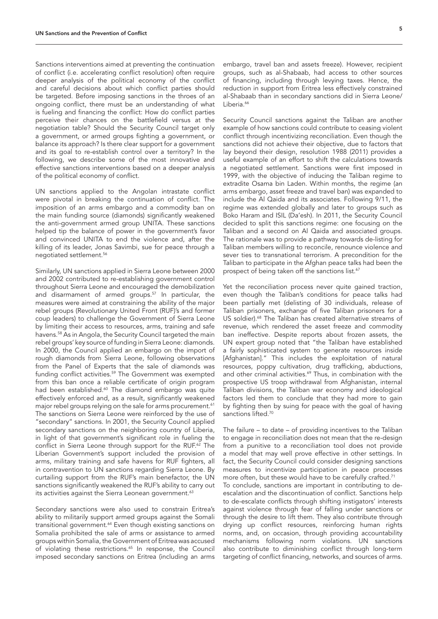Sanctions interventions aimed at preventing the continuation of conflict (i.e. accelerating conflict resolution) often require deeper analysis of the political economy of the conflict and careful decisions about which conflict parties should be targeted. Before imposing sanctions in the throes of an ongoing conflict, there must be an understanding of what is fueling and financing the conflict: How do conflict parties perceive their chances on the battlefield versus at the negotiation table? Should the Security Council target only a government, or armed groups fighting a government, or balance its approach? Is there clear support for a government and its goal to re-establish control over a territory? In the following, we describe some of the most innovative and effective sanctions interventions based on a deeper analysis of the political economy of conflict.

UN sanctions applied to the Angolan intrastate conflict were pivotal in breaking the continuation of conflict. The imposition of an arms embargo and a commodity ban on the main funding source (diamonds) significantly weakened the anti-government armed group UNITA. These sanctions helped tip the balance of power in the government's favor and convinced UNITA to end the violence and, after the killing of its leader, Jonas Savimbi, sue for peace through a negotiated settlement.<sup>56</sup>

Similarly, UN sanctions applied in Sierra Leone between 2000 and 2002 contributed to re-establishing government control throughout Sierra Leone and encouraged the demobilization and disarmament of armed groups.57 In particular, the measures were aimed at constraining the ability of the major rebel groups (Revolutionary United Front (RUF)'s and former coup leaders) to challenge the Government of Sierra Leone by limiting their access to resources, arms, training and safe havens.<sup>58</sup> As in Angola, the Security Council targeted the main rebel groups' key source of funding in Sierra Leone: diamonds. In 2000, the Council applied an embargo on the import of rough diamonds from Sierra Leone, following observations from the Panel of Experts that the sale of diamonds was funding conflict activities.59 The Government was exempted from this ban once a reliable certificate of origin program had been established.<sup>60</sup> The diamond embargo was quite effectively enforced and, as a result, significantly weakened major rebel groups relying on the sale for arms procurement.<sup>61</sup> The sanctions on Sierra Leone were reinforced by the use of "secondary" sanctions. In 2001, the Security Council applied secondary sanctions on the neighboring country of Liberia, in light of that government's significant role in fueling the conflict in Sierra Leone through support for the RUF.<sup>62</sup> The Liberian Government's support included the provision of arms, military training and safe havens for RUF fighters, all in contravention to UN sanctions regarding Sierra Leone. By curtailing support from the RUF's main benefactor, the UN sanctions significantly weakened the RUF's ability to carry out its activities against the Sierra Leonean government.<sup>63</sup>

Secondary sanctions were also used to constrain Eritrea's ability to militarily support armed groups against the Somali transitional government.<sup>64</sup> Even though existing sanctions on Somalia prohibited the sale of arms or assistance to armed groups within Somalia, the Government of Eritrea was accused of violating these restrictions.<sup>65</sup> In response, the Council imposed secondary sanctions on Eritrea (including an arms embargo, travel ban and assets freeze). However, recipient groups, such as al-Shabaab, had access to other sources of financing, including through levying taxes. Hence, the reduction in support from Eritrea less effectively constrained al-Shabaab than in secondary sanctions did in Sierra Leone/ Liberia.<sup>66</sup>

Security Council sanctions against the Taliban are another example of how sanctions could contribute to ceasing violent conflict through incentivizing reconciliation. Even though the sanctions did not achieve their objective, due to factors that lay beyond their design, resolution 1988 (2011) provides a useful example of an effort to shift the calculations towards a negotiated settlement. Sanctions were first imposed in 1999, with the objective of inducing the Taliban regime to extradite Osama bin Laden. Within months, the regime (an arms embargo, asset freeze and travel ban) was expanded to include the Al Qaida and its associates. Following 9/11, the regime was extended globally and later to groups such as Boko Haram and ISIL (Da'esh). In 2011, the Security Council decided to split this sanctions regime: one focusing on the Taliban and a second on Al Qaida and associated groups. The rationale was to provide a pathway towards de-listing for Taliban members willing to reconcile, renounce violence and sever ties to transnational terrorism. A precondition for the Taliban to participate in the Afghan peace talks had been the prospect of being taken off the sanctions list.<sup>67</sup>

Yet the reconciliation process never quite gained traction, even though the Taliban's conditions for peace talks had been partially met (delisting of 30 individuals, release of Taliban prisoners, exchange of five Taliban prisoners for a US soldier).<sup>68</sup> The Taliban has created alternative streams of revenue, which rendered the asset freeze and commodity ban ineffective. Despite reports about frozen assets, the UN expert group noted that "the Taliban have established a fairly sophisticated system to generate resources inside [Afghanistan]." This includes the exploitation of natural resources, poppy cultivation, drug trafficking, abductions, and other criminal activities.<sup>69</sup> Thus, in combination with the prospective US troop withdrawal from Afghanistan, internal Taliban divisions, the Taliban war economy and ideological factors led them to conclude that they had more to gain by fighting then by suing for peace with the goal of having sanctions lifted.<sup>70</sup>

The failure – to date – of providing incentives to the Taliban to engage in reconciliation does not mean that the re-design from a punitive to a reconciliation tool does not provide a model that may well prove effective in other settings. In fact, the Security Council could consider designing sanctions measures to incentivize participation in peace processes more often, but these would have to be carefully crafted.<sup>71</sup> To conclude, sanctions are important in contributing to deescalation and the discontinuation of conflict. Sanctions help to de-escalate conflicts through shifting instigators' interests against violence through fear of falling under sanctions or through the desire to lift them. They also contribute through drying up conflict resources, reinforcing human rights norms, and, on occasion, through providing accountability mechanisms following norm violations. UN sanctions also contribute to diminishing conflict through long-term targeting of conflict financing, networks, and sources of arms.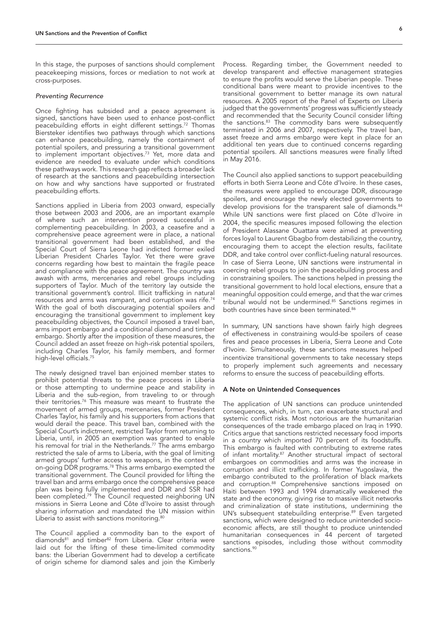In this stage, the purposes of sanctions should complement peacekeeping missions, forces or mediation to not work at cross-purposes.

#### *Preventing Recurrence*

Once fighting has subsided and a peace agreement is signed, sanctions have been used to enhance post-conflict peacebuilding efforts in eight different settings.72 Thomas Biersteker identifies two pathways through which sanctions can enhance peacebuilding, namely the containment of potential spoilers, and pressuring a transitional government to implement important objectives.<sup>73</sup> Yet, more data and evidence are needed to evaluate under which conditions these pathways work. This research gap reflects a broader lack of research at the sanctions and peacebuilding intersection on how and why sanctions have supported or frustrated peacebuilding efforts.

Sanctions applied in Liberia from 2003 onward, especially those between 2003 and 2006, are an important example of where such an intervention proved successful in complementing peacebuilding. In 2003, a ceasefire and a comprehensive peace agreement were in place, a national transitional government had been established, and the Special Court of Sierra Leone had indicted former exiled Liberian President Charles Taylor. Yet there were grave concerns regarding how best to maintain the fragile peace and compliance with the peace agreement. The country was awash with arms, mercenaries and rebel groups including supporters of Taylor. Much of the territory lay outside the transitional government's control. Illicit trafficking in natural resources and arms was rampant, and corruption was rife.74 With the goal of both discouraging potential spoilers and encouraging the transitional government to implement key peacebuilding objectives, the Council imposed a travel ban, arms import embargo and a conditional diamond and timber embargo. Shortly after the imposition of these measures, the Council added an asset freeze on high-risk potential spoilers, including Charles Taylor, his family members, and former high-level officials.<sup>75</sup>

The newly designed travel ban enjoined member states to prohibit potential threats to the peace process in Liberia or those attempting to undermine peace and stability in Liberia and the sub-region, from traveling to or through their territories.76 This measure was meant to frustrate the movement of armed groups, mercenaries, former President Charles Taylor, his family and his supporters from actions that would derail the peace. This travel ban, combined with the Special Court's indictment, restricted Taylor from returning to Liberia, until, in 2005 an exemption was granted to enable his removal for trial in the Netherlands.<sup>77</sup> The arms embargo restricted the sale of arms to Liberia, with the goal of limiting armed groups' further access to weapons, in the context of on-going DDR programs.<sup>78</sup> This arms embargo exempted the transitional government. The Council provided for lifting the travel ban and arms embargo once the comprehensive peace plan was being fully implemented and DDR and SSR had been completed.79 The Council requested neighboring UN missions in Sierra Leone and Côte d'Ivoire to assist through sharing information and mandated the UN mission within Liberia to assist with sanctions monitoring.<sup>80</sup>

The Council applied a commodity ban to the export of diamonds<sup>81</sup> and timber<sup>82</sup> from Liberia. Clear criteria were laid out for the lifting of these time-limited commodity bans: the Liberian Government had to develop a certificate of origin scheme for diamond sales and join the Kimberly

Process. Regarding timber, the Government needed to develop transparent and effective management strategies to ensure the profits would serve the Liberian people. These conditional bans were meant to provide incentives to the transitional government to better manage its own natural resources. A 2005 report of the Panel of Experts on Liberia judged that the governments' progress was sufficiently steady and recommended that the Security Council consider lifting the sanctions. $83$  The commodity bans were subsequently terminated in 2006 and 2007, respectively. The travel ban, asset freeze and arms embargo were kept in place for an additional ten years due to continued concerns regarding potential spoilers. All sanctions measures were finally lifted in May 2016.

The Council also applied sanctions to support peacebuilding efforts in both Sierra Leone and Côte d'Ivoire. In these cases, the measures were applied to encourage DDR, discourage spoilers, and encourage the newly elected governments to develop provisions for the transparent sale of diamonds.<sup>84</sup> While UN sanctions were first placed on Côte d'Ivoire in 2004, the specific measures imposed following the election of President Alassane Ouattara were aimed at preventing forces loyal to Laurent Gbagbo from destabilizing the country, encouraging them to accept the election results, facilitate DDR, and take control over conflict-fueling natural resources. In case of Sierra Leone, UN sanctions were instrumental in coercing rebel groups to join the peacebuilding process and in constraining spoilers. The sanctions helped in pressing the transitional government to hold local elections, ensure that a meaningful opposition could emerge, and that the war crimes tribunal would not be undermined.<sup>85</sup> Sanctions regimes in both countries have since been terminated.<sup>86</sup>

In summary, UN sanctions have shown fairly high degrees of effectiveness in constraining would-be spoilers of cease fires and peace processes in Liberia, Sierra Leone and Cote d'Ivoire. Simultaneously, these sanctions measures helped incentivize transitional governments to take necessary steps to properly implement such agreements and necessary reforms to ensure the success of peacebuilding efforts.

#### A Note on Unintended Consequences

The application of UN sanctions can produce unintended consequences, which, in turn, can exacerbate structural and systemic conflict risks. Most notorious are the humanitarian consequences of the trade embargo placed on Iraq in 1990. Critics argue that sanctions restricted necessary food imports in a country which imported 70 percent of its foodstuffs. This embargo is faulted with contributing to extreme rates of infant mortality.87 Another structural impact of sectoral embargoes on commodities and arms was the increase in corruption and illicit trafficking. In former Yugoslavia, the embargo contributed to the proliferation of black markets and corruption.<sup>88</sup> Comprehensive sanctions imposed on Haiti between 1993 and 1994 dramatically weakened the state and the economy, giving rise to massive illicit networks and criminalization of state institutions, undermining the UN's subsequent statebuilding enterprise.<sup>89</sup> Even targeted sanctions, which were designed to reduce unintended socioeconomic affects, are still thought to produce unintended humanitarian consequences in 44 percent of targeted sanctions episodes, including those without commodity sanctions.<sup>90</sup>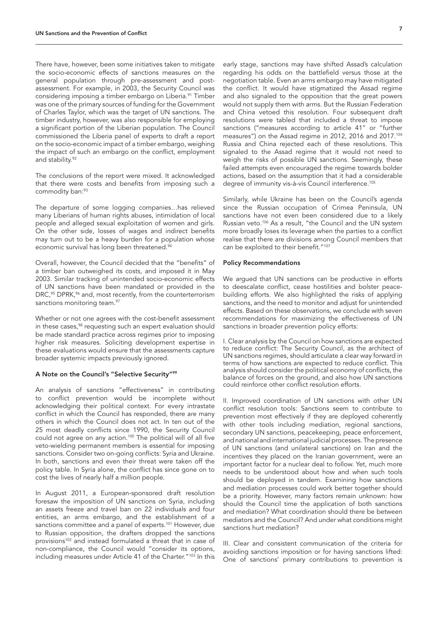There have, however, been some initiatives taken to mitigate the socio-economic effects of sanctions measures on the general population through pre-assessment and postassessment. For example, in 2003, the Security Council was considering imposing a timber embargo on Liberia.<sup>91</sup> Timber was one of the primary sources of funding for the Government of Charles Taylor, which was the target of UN sanctions. The timber industry, however, was also responsible for employing a significant portion of the Liberian population. The Council commissioned the Liberia panel of experts to draft a report on the socio-economic impact of a timber embargo, weighing the impact of such an embargo on the conflict, employment and stability.<sup>92</sup>

The conclusions of the report were mixed. It acknowledged that there were costs and benefits from imposing such a commodity ban:93

The departure of some logging companies…has relieved many Liberians of human rights abuses, intimidation of local people and alleged sexual exploitation of women and girls. On the other side, losses of wages and indirect benefits may turn out to be a heavy burden for a population whose economic survival has long been threatened.<sup>94</sup>

Overall, however, the Council decided that the "benefits" of a timber ban outweighed its costs, and imposed it in May 2003. Similar tracking of unintended socio-economic effects of UN sanctions have been mandated or provided in the DRC,<sup>95</sup> DPRK,<sup>96</sup> and, most recently, from the counterterrorism sanctions monitoring team.<sup>97</sup>

Whether or not one agrees with the cost-benefit assessment in these cases,<sup>98</sup> requesting such an expert evaluation should be made standard practice across regimes prior to imposing higher risk measures. Soliciting development expertise in these evaluations would ensure that the assessments capture broader systemic impacts previously ignored.

#### A Note on the Council's "Selective Security"99

An analysis of sanctions "effectiveness" in contributing to conflict prevention would be incomplete without acknowledging their political context. For every intrastate conflict in which the Council has responded, there are many others in which the Council does not act. In ten out of the 25 most deadly conflicts since 1990, the Security Council could not agree on any action.<sup>100</sup> The political will of all five veto-wielding permanent members is essential for imposing sanctions. Consider two on-going conflicts: Syria and Ukraine. In both, sanctions and even their threat were taken off the policy table. In Syria alone, the conflict has since gone on to cost the lives of nearly half a million people.

In August 2011, a European-sponsored draft resolution foresaw the imposition of UN sanctions on Syria, including an assets freeze and travel ban on 22 individuals and four entities, an arms embargo, and the establishment of a sanctions committee and a panel of experts.<sup>101</sup> However, due to Russian opposition, the drafters dropped the sanctions provisions<sup>102</sup> and instead formulated a threat that in case of non-compliance, the Council would "consider its options, including measures under Article 41 of the Charter."<sup>103</sup> In this

early stage, sanctions may have shifted Assad's calculation regarding his odds on the battlefield versus those at the negotiation table. Even an arms embargo may have mitigated the conflict. It would have stigmatized the Assad regime and also signaled to the opposition that the great powers would not supply them with arms. But the Russian Federation and China vetoed this resolution. Four subsequent draft resolutions were tabled that included a threat to impose sanctions ("measures according to article 41" or "further measures") on the Assad regime in 2012, 2016 and 2017.104 Russia and China rejected each of these resolutions. This signaled to the Assad regime that it would not need to weigh the risks of possible UN sanctions. Seemingly, these failed attempts even encouraged the regime towards bolder actions, based on the assumption that it had a considerable degree of immunity vis-à-vis Council interference.<sup>105</sup>

Similarly, while Ukraine has been on the Council's agenda since the Russian occupation of Crimea Peninsula, UN sanctions have not even been considered due to a likely Russian veto.106 As a result, "the Council and the UN system more broadly loses its leverage when the parties to a conflict realise that there are divisions among Council members that can be exploited to their benefit."<sup>107</sup>

#### Policy Recommendations

We argued that UN sanctions can be productive in efforts to deescalate conflict, cease hostilities and bolster peacebuilding efforts. We also highlighted the risks of applying sanctions, and the need to monitor and adjust for unintended effects. Based on these observations, we conclude with seven recommendations for maximizing the effectiveness of UN sanctions in broader prevention policy efforts:

I. Clear analysis by the Council on how sanctions are expected to reduce conflict: The Security Council, as the architect of UN sanctions regimes, should articulate a clear way forward in terms of how sanctions are expected to reduce conflict. This analysis should consider the political economy of conflicts, the balance of forces on the ground, and also how UN sanctions could reinforce other conflict resolution efforts.

II. Improved coordination of UN sanctions with other UN conflict resolution tools: Sanctions seem to contribute to prevention most effectively if they are deployed coherently with other tools including mediation, regional sanctions, secondary UN sanctions, peacekeeping, peace enforcement, and national and international judicial processes. The presence of UN sanctions (and unilateral sanctions) on Iran and the incentives they placed on the Iranian government, were an important factor for a nuclear deal to follow. Yet, much more needs to be understood about how and when such tools should be deployed in tandem. Examining how sanctions and mediation processes could work better together should be a priority. However, many factors remain unknown: how should the Council time the application of both sanctions and mediation? What coordination should there be between mediators and the Council? And under what conditions might sanctions hurt mediation?

III. Clear and consistent communication of the criteria for avoiding sanctions imposition or for having sanctions lifted: One of sanctions' primary contributions to prevention is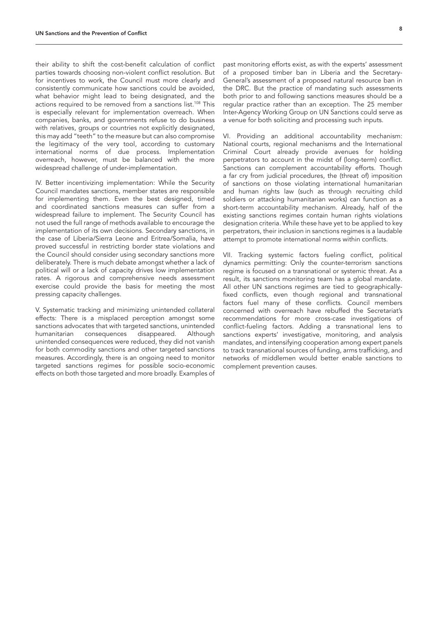their ability to shift the cost-benefit calculation of conflict parties towards choosing non-violent conflict resolution. But for incentives to work, the Council must more clearly and consistently communicate how sanctions could be avoided, what behavior might lead to being designated, and the actions required to be removed from a sanctions list.108 This is especially relevant for implementation overreach. When companies, banks, and governments refuse to do business with relatives, groups or countries not explicitly designated, this may add "teeth" to the measure but can also compromise the legitimacy of the very tool, according to customary international norms of due process. Implementation overreach, however, must be balanced with the more widespread challenge of under-implementation.

IV. Better incentivizing implementation: While the Security Council mandates sanctions, member states are responsible for implementing them. Even the best designed, timed and coordinated sanctions measures can suffer from a widespread failure to implement. The Security Council has not used the full range of methods available to encourage the implementation of its own decisions. Secondary sanctions, in the case of Liberia/Sierra Leone and Eritrea/Somalia, have proved successful in restricting border state violations and the Council should consider using secondary sanctions more deliberately. There is much debate amongst whether a lack of political will or a lack of capacity drives low implementation rates. A rigorous and comprehensive needs assessment exercise could provide the basis for meeting the most pressing capacity challenges.

V. Systematic tracking and minimizing unintended collateral effects: There is a misplaced perception amongst some sanctions advocates that with targeted sanctions, unintended humanitarian consequences disappeared. Although unintended consequences were reduced, they did not vanish for both commodity sanctions and other targeted sanctions measures. Accordingly, there is an ongoing need to monitor targeted sanctions regimes for possible socio-economic effects on both those targeted and more broadly. Examples of

past monitoring efforts exist, as with the experts' assessment of a proposed timber ban in Liberia and the Secretary-General's assessment of a proposed natural resource ban in the DRC. But the practice of mandating such assessments both prior to and following sanctions measures should be a regular practice rather than an exception. The 25 member Inter-Agency Working Group on UN Sanctions could serve as a venue for both soliciting and processing such inputs.

VI. Providing an additional accountability mechanism: National courts, regional mechanisms and the International Criminal Court already provide avenues for holding perpetrators to account in the midst of (long-term) conflict. Sanctions can complement accountability efforts. Though a far cry from judicial procedures, the (threat of) imposition of sanctions on those violating international humanitarian and human rights law (such as through recruiting child soldiers or attacking humanitarian works) can function as a short-term accountability mechanism. Already, half of the existing sanctions regimes contain human rights violations designation criteria. While these have yet to be applied to key perpetrators, their inclusion in sanctions regimes is a laudable attempt to promote international norms within conflicts.

VII. Tracking systemic factors fueling conflict, political dynamics permitting: Only the counter-terrorism sanctions regime is focused on a transnational or systemic threat. As a result, its sanctions monitoring team has a global mandate. All other UN sanctions regimes are tied to geographicallyfixed conflicts, even though regional and transnational factors fuel many of these conflicts. Council members concerned with overreach have rebuffed the Secretariat's recommendations for more cross-case investigations of conflict-fueling factors. Adding a transnational lens to sanctions experts' investigative, monitoring, and analysis mandates, and intensifying cooperation among expert panels to track transnational sources of funding, arms trafficking, and networks of middlemen would better enable sanctions to complement prevention causes.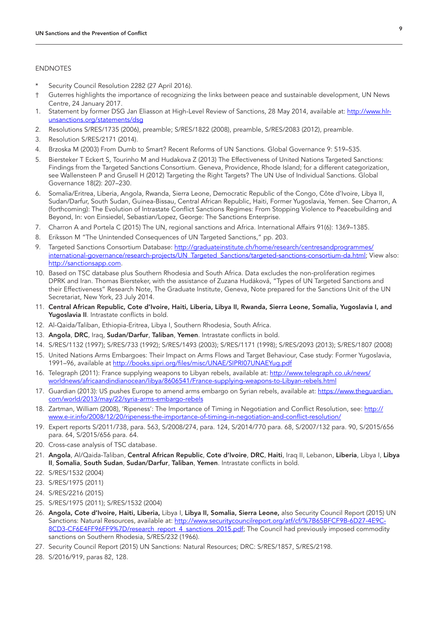### ENDNOTES

- Security Council Resolution 2282 (27 April 2016).
- † Guterres highlights the importance of recognizing the links between peace and sustainable development, UN News Centre, 24 January 2017.
- 1. Statement by former DSG Jan Eliasson at High-Level Review of Sanctions, 28 May 2014, available at: [http://www.hlr](http://www.hlr-unsanctions.org/statements/dsg)[unsanctions.org/statements/dsg](http://www.hlr-unsanctions.org/statements/dsg)
- 2. Resolutions S/RES/1735 (2006), preamble; S/RES/1822 (2008), preamble, S/RES/2083 (2012), preamble.
- 3. Resolution S/RES/2171 (2014).
- 4. Brzoska M (2003) From Dumb to Smart? Recent Reforms of UN Sanctions. Global Governance 9: 519–535.
- 5. Biersteker T Eckert S, Tourinho M and Hudakova Z (2013) The Effectiveness of United Nations Targeted Sanctions: Findings from the Targeted Sanctions Consortium. Geneva, Providence, Rhode Island; for a different categorization, see Wallensteen P and Grusell H (2012) Targeting the Right Targets? The UN Use of Individual Sanctions. Global Governance 18(2): 207–230.
- 6. Somalia/Eritrea, Liberia, Angola, Rwanda, Sierra Leone, Democratic Republic of the Congo, Côte d'Ivoire, Libya II, Sudan/Darfur, South Sudan, Guinea-Bissau, Central African Republic, Haiti, Former Yugoslavia, Yemen. See Charron, A (forthcoming): The Evolution of Intrastate Conflict Sanctions Regimes: From Stopping Violence to Peacebuilding and Beyond, In: von Einsiedel, Sebastian/Lopez, George: The Sanctions Enterprise.
- 7. Charron A and Portela C (2015) The UN, regional sanctions and Africa. International Affairs 91(6): 1369–1385.
- 8. Eriksson M "The Unintended Consequences of UN Targeted Sanctions," pp. 203.
- 9. Targeted Sanctions Consortium Database: [http://graduateinstitute.ch/home/research/centresandprogrammes/](http://graduateinstitute.ch/home/research/centresandprogrammes/international-governance/research-projects/UN_Targeted_Sanctions/targeted-sanctions-consortium-da.html) [international-governance/research-projects/UN\\_Targeted\\_Sanctions/targeted-sanctions-consortium-da.html](http://graduateinstitute.ch/home/research/centresandprogrammes/international-governance/research-projects/UN_Targeted_Sanctions/targeted-sanctions-consortium-da.html); View also: <http://sanctionsapp.com>.
- 10. Based on TSC database plus Southern Rhodesia and South Africa. Data excludes the non-proliferation regimes DPRK and Iran. Thomas Biersteker, with the assistance of Zuzana Hudáková, "Types of UN Targeted Sanctions and their Effectiveness" Research Note, The Graduate Institute, Geneva, Note prepared for the Sanctions Unit of the UN Secretariat, New York, 23 July 2014.
- 11. Central African Republic, Cote d'Ivoire, Haiti, Liberia, Libya II, Rwanda, Sierra Leone, Somalia, Yugoslavia I, and Yugoslavia II. Intrastate conflicts in bold.
- 12. Al-Qaida/Taliban, Ethiopia-Eritrea, Libya I, Southern Rhodesia, South Africa.
- 13. Angola, DRC, Iraq, Sudan/Darfur, Taliban, Yemen. Intrastate conflicts in bold.
- 14. S/RES/1132 (1997); S/RES/733 (1992); S/RES/1493 (2003); S/RES/1171 (1998); S/RES/2093 (2013); S/RES/1807 (2008)
- 15. United Nations Arms Embargoes: Their Impact on Arms Flows and Target Behaviour, Case study: Former Yugoslavia, 1991–96, available at <http://books.sipri.org/files/misc/UNAE/SIPRI07UNAEYug.pdf>
- 16. Telegraph (2011): France supplying weapons to Libyan rebels, available at: [http://www.telegraph.co.uk/news/](http://www.telegraph.co.uk/news/worldnews/africaandindianocean/libya/8606541/France-supplying-weapons-to-Libyan-rebels.html) [worldnews/africaandindianocean/libya/8606541/France-supplying-weapons-to-Libyan-rebels.html](http://www.telegraph.co.uk/news/worldnews/africaandindianocean/libya/8606541/France-supplying-weapons-to-Libyan-rebels.html)
- 17. Guardian (2013): US pushes Europe to amend arms embargo on Syrian rebels, available at: [https://www.theguardian.](https://www.theguardian.com/world/2013/may/22/syria-arms-embargo-rebels) [com/world/2013/may/22/syria-arms-embargo-rebels](https://www.theguardian.com/world/2013/may/22/syria-arms-embargo-rebels)
- 18. Zartman, William (2008), 'Ripeness': The Importance of Timing in Negotiation and Conflict Resolution, see: [http://](http://www.e-ir.info/2008/12/20/ripeness-the-importance-of-timing-in-negotiation-and-conflict-resolution/) [www.e-ir.info/2008/12/20/ripeness-the-importance-of-timing-in-negotiation-and-conflict-resolution/](http://www.e-ir.info/2008/12/20/ripeness-the-importance-of-timing-in-negotiation-and-conflict-resolution/)
- 19. Expert reports S/2011/738, para. 563, S/2008/274, para. 124, S/2014/770 para. 68, S/2007/132 para. 90, S/2015/656 para. 64, S/2015/656 para. 64.
- 20. Cross-case analysis of TSC database.
- 21. Angola, Al/Qaida-Taliban, Central African Republic, Cote d'Ivoire, DRC, Haiti, Iraq II, Lebanon, Liberia, Libya I, Libya II, Somalia, South Sudan, Sudan/Darfur, Taliban, Yemen. Intrastate conflicts in bold.
- 22. S/RES/1532 (2004)
- 23. S/RES/1975 (2011)
- 24. S/RES/2216 (2015)
- 25. S/RES/1975 (2011); S/RES/1532 (2004)
- 26. Angola, Cote d'Ivoire, Haiti, Liberia, Libya I, Libya II, Somalia, Sierra Leone, also Security Council Report (2015) UN Sanctions: Natural Resources, available at: [http://www.securitycouncilreport.org/atf/cf/%7B65BFCF9B-6D27-4E9C-](http://www.securitycouncilreport.org/atf/cf/%7B65BFCF9B-6D27-4E9C-8CD3-CF6E4FF96FF9%7D/research_report_4_sanctions_2015.pdf)[8CD3-CF6E4FF96FF9%7D/research\\_report\\_4\\_sanctions\\_2015.pdf;](http://www.securitycouncilreport.org/atf/cf/%7B65BFCF9B-6D27-4E9C-8CD3-CF6E4FF96FF9%7D/research_report_4_sanctions_2015.pdf) The Council had previously imposed commodity sanctions on Southern Rhodesia, S/RES/232 (1966).
- 27. Security Council Report (2015) UN Sanctions: Natural Resources; DRC: S/RES/1857, S/RES/2198.
- 28. S/2016/919, paras 82, 128.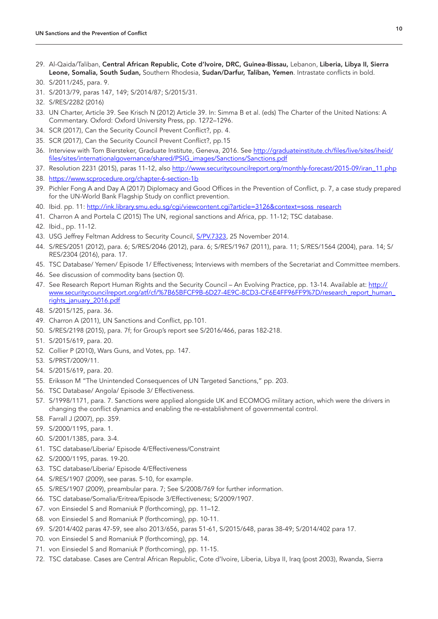29. Al-Qaida/Taliban, Central African Republic, Cote d'Ivoire, DRC, Guinea-Bissau, Lebanon, Liberia, Libya II, Sierra Leone, Somalia, South Sudan, Southern Rhodesia, Sudan/Darfur, Taliban, Yemen. Intrastate conflicts in bold.

- 31. S/2013/79, paras 147, 149; S/2014/87; S/2015/31.
- 32. S/RES/2282 (2016)
- 33. UN Charter, Article 39. See Krisch N (2012) Article 39. In: Simma B et al. (eds) The Charter of the United Nations: A Commentary. Oxford: Oxford University Press, pp. 1272–1296.
- 34. SCR (2017), Can the Security Council Prevent Conflict?, pp. 4.
- 35. SCR (2017), Can the Security Council Prevent Conflict?, pp.15
- 36. Interview with Tom Biersteker, Graduate Institute, Geneva, 2016. See [http://graduateinstitute.ch/files/live/sites/iheid/](http://graduateinstitute.ch/files/live/sites/iheid/files/sites/internationalgovernance/shared/PSIG_images/Sanctions/Sanctions.pdf) [files/sites/internationalgovernance/shared/PSIG\\_images/Sanctions/Sanctions.pdf](http://graduateinstitute.ch/files/live/sites/iheid/files/sites/internationalgovernance/shared/PSIG_images/Sanctions/Sanctions.pdf)
- 37. Resolution 2231 (2015), paras 11-12, also [http://www.securitycouncilreport.org/monthly-forecast/2015-09/iran\\_11.php](http://www.securitycouncilreport.org/monthly-forecast/2015-09/iran_11.php)
- 38. <https://www.scprocedure.org/chapter-6-section-1b>
- 39. Pichler Fong A and Day A (2017) Diplomacy and Good Offices in the Prevention of Conflict, p. 7, a case study prepared for the UN-World Bank Flagship Study on conflict prevention.
- 40. Ibid. pp. 11: [http://ink.library.smu.edu.sg/cgi/viewcontent.cgi?article=3126&context=soss\\_research](http://ink.library.smu.edu.sg/cgi/viewcontent.cgi?article=3126&context=soss_research)
- 41. Charron A and Portela C (2015) The UN, regional sanctions and Africa, pp. 11-12; TSC database.
- 42. Ibid., pp. 11-12.
- 43. USG Jeffrey Feltman Address to Security Council, [S/PV.7323,](http://www.un.org/en/ga/search/view_doc.asp?symbol=S/PV.7323) 25 November 2014.
- 44. S/RES/2051 (2012), para. 6; S/RES/2046 (2012), para. 6; S/RES/1967 (2011), para. 11; S/RES/1564 (2004), para. 14; S/ RES/2304 (2016), para. 17.
- 45. TSC Database/ Yemen/ Episode 1/ Effectiveness; Interviews with members of the Secretariat and Committee members.
- 46. See discussion of commodity bans (section 0).
- 47. See Research Report Human Rights and the Security Council An Evolving Practice, pp. 13-14. Available at: [http://](http://www.securitycouncilreport.org/atf/cf/%7B65BFCF9B-6D27-4E9C-8CD3-CF6E4FF96FF9%7D/research_report_human_rights_january_2016.pdf) [www.securitycouncilreport.org/atf/cf/%7B65BFCF9B-6D27-4E9C-8CD3-CF6E4FF96FF9%7D/research\\_report\\_human\\_](http://www.securitycouncilreport.org/atf/cf/%7B65BFCF9B-6D27-4E9C-8CD3-CF6E4FF96FF9%7D/research_report_human_rights_january_2016.pdf) [rights\\_january\\_2016.pdf](http://www.securitycouncilreport.org/atf/cf/%7B65BFCF9B-6D27-4E9C-8CD3-CF6E4FF96FF9%7D/research_report_human_rights_january_2016.pdf)
- 48. S/2015/125, para. 36.
- 49. Charron A (2011), UN Sanctions and Conflict, pp.101.
- 50. S/RES/2198 (2015), para. 7f; for Group's report see S/2016/466, paras 182-218.
- 51. S/2015/619, para. 20.
- 52. Collier P (2010), Wars Guns, and Votes, pp. 147.
- 53. S/PRST/2009/11.
- 54. S/2015/619, para. 20.
- 55. Eriksson M "The Unintended Consequences of UN Targeted Sanctions," pp. 203.
- 56. TSC Database/ Angola/ Episode 3/ Effectiveness.
- 57. S/1998/1171, para. 7. Sanctions were applied alongside UK and ECOMOG military action, which were the drivers in changing the conflict dynamics and enabling the re-establishment of governmental control.
- 58. Farrall J (2007), pp. 359.
- 59. S/2000/1195, para. 1.
- 60. S/2001/1385, para. 3-4.
- 61. TSC database/Liberia/ Episode 4/Effectiveness/Constraint
- 62. S/2000/1195, paras. 19-20.
- 63. TSC database/Liberia/ Episode 4/Effectiveness
- 64. S/RES/1907 (2009), see paras. 5-10, for example.
- 65. S/RES/1907 (2009), preambular para. 7; See S/2008/769 for further information.
- 66. TSC database/Somalia/Eritrea/Episode 3/Effectiveness; S/2009/1907.
- 67. von Einsiedel S and Romaniuk P (forthcoming), pp. 11–12.
- 68. von Einsiedel S and Romaniuk P (forthcoming), pp. 10-11.
- 69. S/2014/402 paras 47-59, see also 2013/656, paras 51-61, S/2015/648, paras 38-49; S/2014/402 para 17.
- 70. von Einsiedel S and Romaniuk P (forthcoming), pp. 14.
- 71. von Einsiedel S and Romaniuk P (forthcoming), pp. 11-15.
- 72. TSC database. Cases are Central African Republic, Cote d'Ivoire, Liberia, Libya II, Iraq (post 2003), Rwanda, Sierra

<sup>30.</sup> S/2011/245, para. 9.